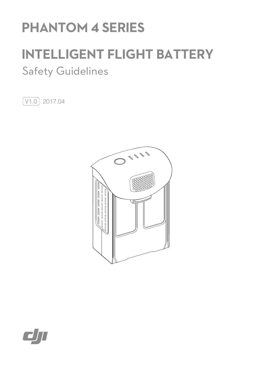# **PHANTOM 4 SERIES**

# **INTELLIGENT FLIGHT BATTERY**

# Safety Guidelines

 $V1.0$  2017.04



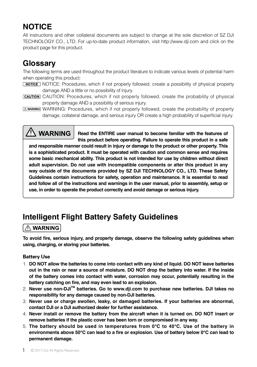### **NOTICE**

All instructions and other collateral documents are subject to change at the sole discretion of SZ DJI TECHNOLOGY CO., LTD. For up-to-date product information, visit http://www.dji.com and click on the product page for this product.

### **Glossary**

The following terms are used throughout the product literature to indicate various levels of potential harm when operating this product:

- NOTICE: Procedures, which if not properly followed, create a possibility of physical property damage AND a little or no possibility of injury.
- CAUTION: Procedures, which if not properly followed, create the probability of physical property damage AND a possibility of serious injury.
- **(A WARNING: Procedures, which if not properly followed, create the probability of property** damage, collateral damage, and serious injury OR create a high probability of superficial injury.

## <sup>/I</sup>\ WARNING

**Read the ENTIRE user manual to become familiar with the features of this product before operating. Failure to operate this product in a safe** 

**and responsible manner could result in injury or damage to the product or other property. This is a sophisticated product. It must be operated with caution and common sense and requires some basic mechanical ability. This product is not intended for use by children without direct adult supervision. Do not use with incompatible components or alter this product in any way outside of the documents provided by SZ DJI TECHNOLOGY CO., LTD. These Safety Guidelines contain instructions for safety, operation and maintenance. It is essential to read and follow all of the instructions and warnings in the user manual, prior to assembly, setup or use, in order to operate the product correctly and avoid damage or serious injury.**

## **Intelligent Flight Battery Safety Guidelines**

#### $\land$  WARNING

**To avoid fire, serious injury, and property damage, observe the following safety guidelines when using, charging, or storing your batteries.**

#### Battery Use

- 1. **DO NOT allow the batteries to come into contact with any kind of liquid. DO NOT leave batteries out in the rain or near a source of moisture. DO NOT drop the battery into water. If the inside of the battery comes into contact with water, corrosion may occur, potentially resulting in the battery catching on fire, and may even lead to an explosion.**
- 2. **Never use non-DJITM batteries. Go to www.dji.com to purchase new batteries. DJI takes no responsibility for any damage caused by non-DJI batteries.**
- 3. **Never use or charge swollen, leaky, or damaged batteries. If your batteries are abnormal, contact DJI or a DJI authorized dealer for further assistance.**
- 4. **Never install or remove the battery from the aircraft when it is turned on. DO NOT insert or remove batteries if the plastic cover has been torn or compromised in any way.**
- 5. **The battery should be used in temperatures from 0℃ to 40℃. Use of the battery in environments above 50℃ can lead to a fire or explosion. Use of battery below 0℃ can lead to permanent damage.**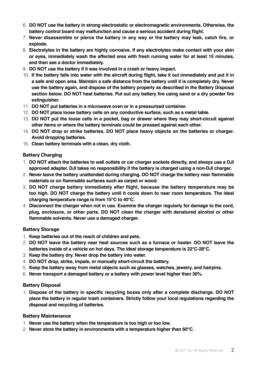- 6. **DO NOT use the battery in strong electrostatic or electromagnetic environments. Otherwise, the battery control board may malfunction and cause a serious accident during flight.**
- 7. **Never disassemble or pierce the battery in any way or the battery may leak, catch fire, or explode.**
- 8. **Electrolytes in the battery are highly corrosive. If any electrolytes make contact with your skin or eyes, immediately wash the affected area with fresh running water for at least 15 minutes, and then see a doctor immediately.**
- 9. **DO NOT use the battery if it was involved in a crash or heavy impact.**
- 10. **If the battery falls into water with the aircraft during flight, take it out immediately and put it in a safe and open area. Maintain a safe distance from the battery until it is completely dry. Never use the battery again, and dispose of the battery properly as described in the Battery Disposal section below. DO NOT heat batteries. Put out any battery fire using sand or a dry powder fire extinguisher.**
- 11. **DO NOT put batteries in a microwave oven or in a pressurized container.**
- 12. **DO NOT place loose battery cells on any conductive surface, such as a metal table.**
- 13. **DO NOT put the loose cells in a pocket, bag or drawer where they may short-circuit against other items or where the battery terminals could be pressed against each other.**
- 14. **DO NOT drop or strike batteries. DO NOT place heavy objects on the batteries or charger. Avoid dropping batteries.**
- 15. **Clean battery terminals with a clean, dry cloth.**

#### Battery Charging

- 1. **DO NOT attach the batteries to wall outlets or car charger sockets directly, and always use a DJI approved adapter. DJI takes no responsibility if the battery is charged using a non-DJI charger.**
- 2. **Never leave the battery unattended during charging. DO NOT charge the battery near flammable materials or on flammable surfaces such as carpet or wood.**
- 3. **DO NOT charge battery immediately after flight, because the battery temperature may be too high. DO NOT charge the battery until it cools down to near room temperature. The ideal charging temperature range is from 15℃ to 40℃.**
- 4. **Disconnect the charger when not in use. Examine the charger regularly for damage to the cord, plug, enclosure, or other parts. DO NOT clean the charger with denatured alcohol or other flammable solvents. Never use a damaged charger.**

#### Battery Storage

- 1. **Keep batteries out of the reach of children and pets.**
- 2. **DO NOT leave the battery near heat sources such as a furnace or heater. DO NOT leave the batteries inside of a vehicle on hot days. The ideal storage temperature is 22℃-28℃.**
- 3. **Keep the battery dry. Never drop the battery into water.**
- 4. **DO NOT drop, strike, impale, or manually short-circuit the battery.**
- 5. **Keep the battery away from metal objects such as glasses, watches, jewelry, and hairpins.**
- 6. **Never transport a damaged battery or a battery with power level higher than 30%.**

#### Battery Disposal

1. **Dispose of the battery in specific recycling boxes only after a complete discharge. DO NOT place the battery in regular trash containers. Strictly follow your local regulations regarding the disposal and recycling of batteries.** 

#### Battery Maintenance

- 1. **Never use the battery when the temperature is too high or too low.**
- 2. **Never store the battery in environments with a temperature higher than 60℃.**